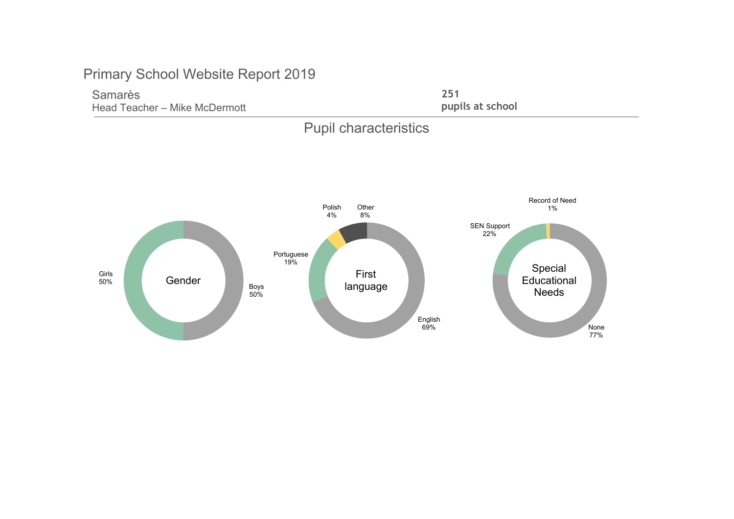Head Teacher – Mike McDermott **Exercise 1998** at school **pupils at school** Samarès

251 pupils at school



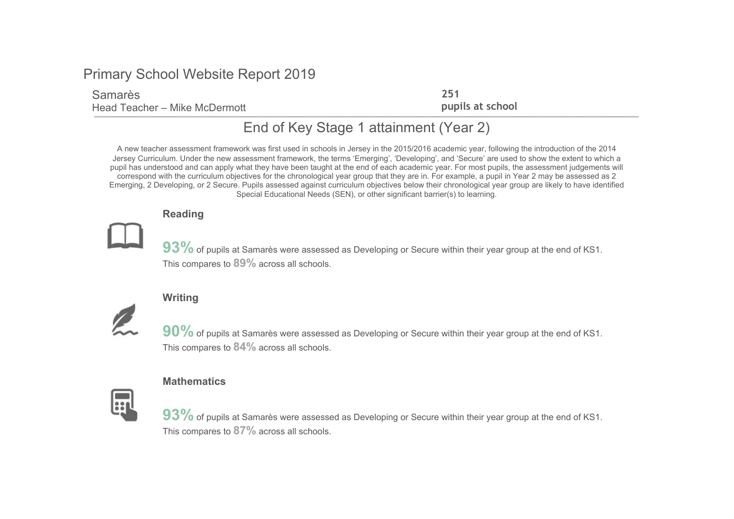### Samarès

The control think increment Head Teacher – Mike McDermott

251 pupils at school

# End of Key Stage 1 attainment (Year 2)

A new teacher assessment framework was first used in schools in Jersey in the 2015/2016 academic year, following the introduction of the 2014 Jersey Curriculum. Under the new assessment framework, the terms 'Emerging', 'Developing', and 'Secure' are used to show the extent to which a pupil has understood and can apply what they have been taught at the end of each academic year. For most pupils, the assessment judgements will correspond with the curriculum objectives for the chronological year group that they are in. For example, a pupil in Year 2 may be assessed as 2 Emerging, 2 Developing, or 2 Secure. Pupils assessed against curriculum objectives below their chronological year group are likely to have identified Special Educational Needs (SEN), or other significant barrier(s) to learning.

#### Reading



93% of pupils at Samarès were assessed as Developing or Secure within their year group at the end of KS1. This compares to 89% across all schools.

## **Writing**



90% of pupils at Samarès were assessed as Developing or Secure within their year group at the end of KS1. This compares to  $84\%$  across all schools.

#### **Mathematics**



93% of pupils at Samarès were assessed as Developing or Secure within their year group at the end of KS1. This compares to  $87\%$  across all schools.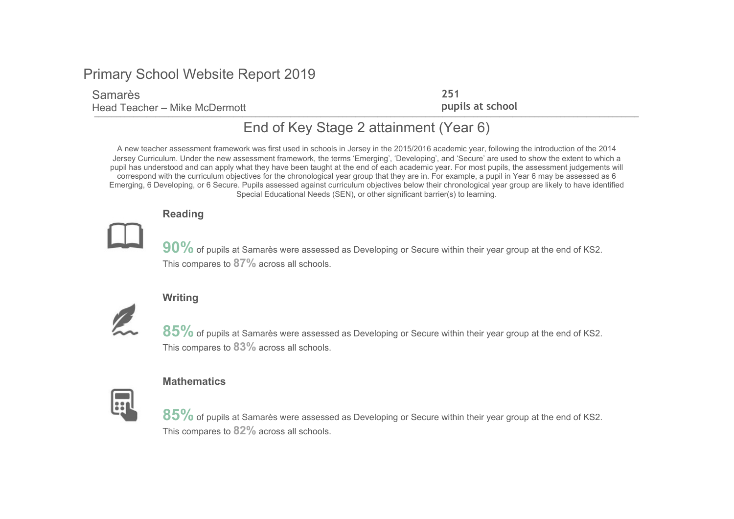### Samarès

The control think increment Head Teacher – Mike McDermott

251 pupils at school

# End of Key Stage 2 attainment (Year 6)

A new teacher assessment framework was first used in schools in Jersey in the 2015/2016 academic year, following the introduction of the 2014 Jersey Curriculum. Under the new assessment framework, the terms 'Emerging', 'Developing', and 'Secure' are used to show the extent to which a pupil has understood and can apply what they have been taught at the end of each academic year. For most pupils, the assessment judgements will correspond with the curriculum objectives for the chronological year group that they are in. For example, a pupil in Year 6 may be assessed as 6 Emerging, 6 Developing, or 6 Secure. Pupils assessed against curriculum objectives below their chronological year group are likely to have identified Special Educational Needs (SEN), or other significant barrier(s) to learning.

#### Reading



90% of pupils at Samarès were assessed as Developing or Secure within their year group at the end of KS2. This compares to  $87\%$  across all schools.

## **Writing**



85% of pupils at Samarès were assessed as Developing or Secure within their year group at the end of KS2. This compares to 83% across all schools.

#### **Mathematics**



 $85\%$  of pupils at Samarès were assessed as Developing or Secure within their year group at the end of KS2. This compares to 82% across all schools.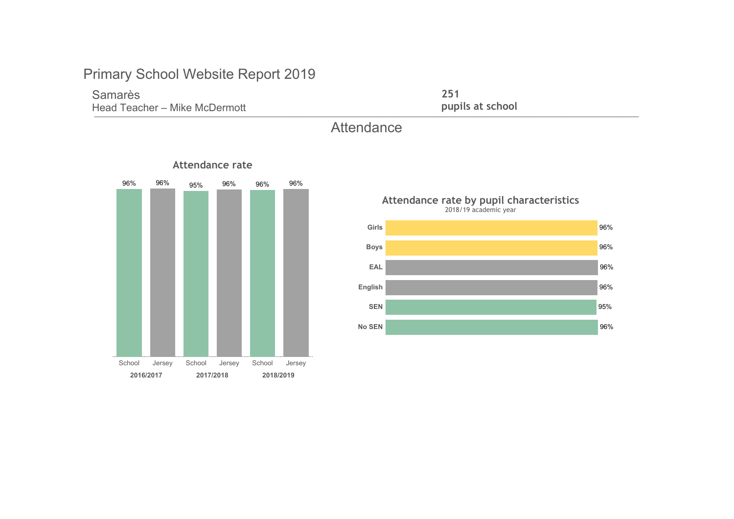## Samarès

The control think increment Head Teacher - Mike McDermott

251 pupils at school

# **Attendance**







# Attendance rate by pupil characteristics